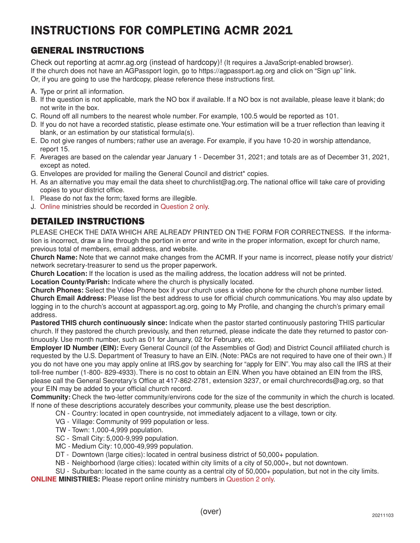## INSTRUCTIONS FOR COMPLETING ACMR 2021

#### GENERAL INSTRUCTIONS

Check out reporting at acmr.ag.org (instead of hardcopy)! (It requires a JavaScript-enabled browser). If the church does not have an AGPassport login, go to https://agpassport.ag.org and click on "Sign up" link. Or, if you are going to use the hardcopy, please reference these instructions first.

- A. Type or print all information.
- B. If the question is not applicable, mark the NO box if available. If a NO box is not available, please leave it blank; do not write in the box.
- C. Round off all numbers to the nearest whole number. For example, 100.5 would be reported as 101.
- D. If you do not have a recorded statistic, please estimate one. Your estimation will be a truer reflection than leaving it blank, or an estimation by our statistical formula(s).
- E. Do not give ranges of numbers; rather use an average. For example, if you have 10-20 in worship attendance, report 15.
- F. Averages are based on the calendar year January 1 December 31, 2021; and totals are as of December 31, 2021, except as noted.
- G. Envelopes are provided for mailing the General Council and district\* copies.
- H. As an alternative you may email the data sheet to churchlist@ag.org. The national office will take care of providing copies to your district office.
- I. Please do not fax the form; faxed forms are illegible.
- J. Online ministries should be recorded in Question 2 only.

### DETAILED INSTRUCTIONS

PLEASE CHECK THE DATA WHICH ARE ALREADY PRINTED ON THE FORM FOR CORRECTNESS. If the information is incorrect, draw a line through the portion in error and write in the proper information, except for church name, previous total of members, email address, and website.

**Church Name:** Note that we cannot make changes from the ACMR. If your name is incorrect, please notify your district/ network secretary-treasurer to send us the proper paperwork.

**Church Location:** If the location is used as the mailing address, the location address will not be printed.

**Location County/Parish:** Indicate where the church is physically located.

**Church Phones:** Select the Video Phone box if your church uses a video phone for the church phone number listed. **Church Email Address:** Please list the best address to use for official church communications. You may also update by logging in to the church's account at agpassport.ag.org, going to My Profile, and changing the church's primary email address.

**Pastored THIS church continuously since:** Indicate when the pastor started continuously pastoring THIS particular church. If they pastored the church previously, and then returned, please indicate the date they returned to pastor continuously. Use month number, such as 01 for January, 02 for February, etc.

**Employer ID Number (EIN):** Every General Council (of the Assemblies of God) and District Council affiliated church is requested by the U.S. Department of Treasury to have an EIN. (Note: PACs are not required to have one of their own.) If you do not have one you may apply online at IRS.gov by searching for "apply for EIN". You may also call the IRS at their toll-free number (1-800- 829-4933). There is no cost to obtain an EIN. When you have obtained an EIN from the IRS, please call the General Secretary's Office at 417-862-2781, extension 3237, or email churchrecords@ag.org, so that your EIN may be added to your official church record.

**Community:** Check the two-letter community/environs code for the size of the community in which the church is located. If none of these descriptions accurately describes your community, please use the best description.

- CN Country: located in open countryside, not immediately adjacent to a village, town or city.
- VG Village: Community of 999 population or less.
- TW Town: 1,000-4,999 population.
- SC Small City: 5,000-9,999 population.
- MC Medium City: 10,000-49,999 population.
- DT Downtown (large cities): located in central business district of 50,000+ population.
- NB Neighborhood (large cities): located within city limits of a city of 50,000+, but not downtown.
- SU Suburban: located in the same county as a central city of 50,000+ population, but not in the city limits.

**ONLINE MINISTRIES:** Please report online ministry numbers in Question 2 only.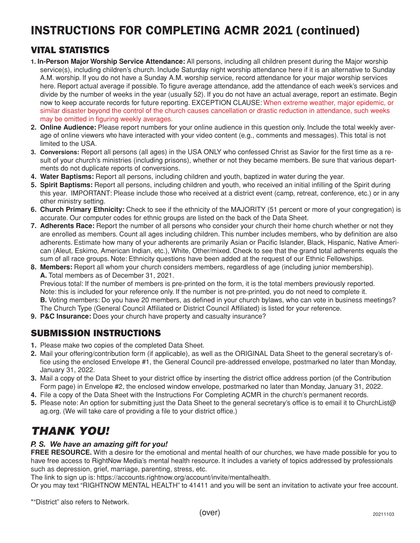# INSTRUCTIONS FOR COMPLETING ACMR 2021 (continued)

### VITAL STATISTICS

- **1. In-Person Major Worship Service Attendance:** All persons, including all children present during the Major worship service(s), including children's church. Include Saturday night worship attendance here if it is an alternative to Sunday A.M. worship. If you do not have a Sunday A.M. worship service, record attendance for your major worship services here. Report actual average if possible. To figure average attendance, add the attendance of each week's services and divide by the number of weeks in the year (usually 52). If you do not have an actual average, report an estimate. Begin now to keep accurate records for future reporting. EXCEPTION CLAUSE: When extreme weather, major epidemic, or similar disaster beyond the control of the church causes cancellation or drastic reduction in attendance, such weeks may be omitted in figuring weekly averages.
- **2. Online Audience:** Please report numbers for your online audience in this question only. Include the total weekly average of online viewers who have interacted with your video content (e.g., comments and messages). This total is not limited to the USA.
- **3. Conversions:** Report all persons (all ages) in the USA ONLY who confessed Christ as Savior for the first time as a result of your church's ministries (including prisons), whether or not they became members. Be sure that various departments do not duplicate reports of conversions.
- **4. Water Baptisms:** Report all persons, including children and youth, baptized in water during the year.
- **5. Spirit Baptisms:** Report all persons, including children and youth, who received an initial infilling of the Spirit during this year. IMPORTANT: Please include those who received at a district event (camp, retreat, conference, etc.) or in any other ministry setting.
- **6. Church Primary Ethnicity:** Check to see if the ethnicity of the MAJORITY (51 percent or more of your congregation) is accurate. Our computer codes for ethnic groups are listed on the back of the Data Sheet.
- **7. Adherents Race:** Report the number of all persons who consider your church their home church whether or not they are enrolled as members. Count all ages including children. This number includes members, who by definition are also adherents. Estimate how many of your adherents are primarily Asian or Pacific Islander, Black, Hispanic, Native American (Aleut, Eskimo, American Indian, etc.), White, Other/mixed. Check to see that the grand total adherents equals the sum of all race groups. Note: Ethnicity questions have been added at the request of our Ethnic Fellowships.
- **8. Members:** Report all whom your church considers members, regardless of age (including junior membership). **A.** Total members as of December 31, 2021. Previous total: If the number of members is pre-printed on the form, it is the total members previously reported. Note: this is included for your reference only. If the number is not pre-printed, you do not need to complete it. **B.** Voting members: Do you have 20 members, as defined in your church bylaws, who can vote in business meetings? The Church Type (General Council Affiliated or District Council Affiliated) is listed for your reference.
- **9. P&C Insurance:** Does your church have property and casualty insurance?

#### SUBMISSION INSTRUCTIONS

- **1.** Please make two copies of the completed Data Sheet.
- **2.** Mail your offering/contribution form (if applicable), as well as the ORIGINAL Data Sheet to the general secretary's office using the enclosed Envelope #1, the General Council pre-addressed envelope, postmarked no later than Monday, January 31, 2022.
- **3.** Mail a copy of the Data Sheet to your district office by inserting the district office address portion (of the Contribution Form page) in Envelope #2, the enclosed window envelope, postmarked no later than Monday, January 31, 2022.
- **4.** File a copy of the Data Sheet with the Instructions For Completing ACMR in the church's permanent records.
- **5.** Please note: An option for submitting just the Data Sheet to the general secretary's office is to email it to ChurchList@ ag.org. (We will take care of providing a file to your district office.)

### *THANK YOU!*

#### *P. S. We have an amazing gift for you!*

**FREE RESOURCE.** With a desire for the emotional and mental health of our churches, we have made possible for you to have free access to RightNow Media's mental health resource. It includes a variety of topics addressed by professionals such as depression, grief, marriage, parenting, stress, etc.

The link to sign up is: https://accounts.rightnow.org/account/invite/mentalhealth.

Or you may text "RIGHTNOW MENTAL HEALTH" to 41411 and you will be sent an invitation to activate your free account.

\*"District" also refers to Network.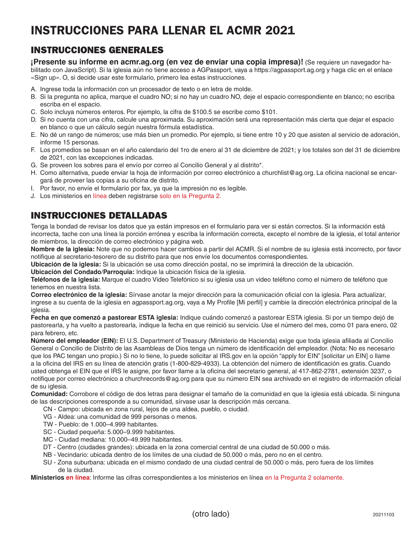# INSTRUCCIONES PARA LLENAR EL ACMR 2021

#### INSTRUCCIONES GENERALES

**¡Presente su informe en acmr.ag.org (en vez de enviar una copia impresa)!** (Se requiere un navegador habilitado con JavaScript). Si la iglesia aún no tiene acceso a AGPassport, vaya a https://agpassport.ag.org y haga clic en el enlace «Sign up». O, si decide usar este formulario, primero lea estas instrucciones.

- A. Ingrese toda la información con un procesador de texto o en letra de molde.
- B. Si la pregunta no aplica, marque el cuadro NO; si no hay un cuadro NO, deje el espacio correspondiente en blanco; no escriba escriba en el espacio.
- C. Solo incluya números enteros. Por ejemplo, la cifra de \$100.5 se escribe como \$101.
- D. Si no cuenta con una cifra, calcule una aproximada. Su aproximación será una representación más cierta que dejar el espacio en blanco o que un cálculo según nuestra fórmula estadística.
- E. No dé un rango de números; use más bien un promedio. Por ejemplo, si tiene entre 10 y 20 que asisten al servicio de adoración, informe 15 personas.
- F. Los promedios se basan en el año calendario del 1ro de enero al 31 de diciembre de 2021; y los totales son del 31 de diciembre de 2021, con las excepciones indicadas.
- G. Se proveen los sobres para el envío por correo al Concilio General y al distrito\*.
- H. Como alternativa, puede enviar la hoja de información por correo electrónico a churchlist@ag.org. La oficina nacional se encargará de proveer las copias a su oficina de distrito.
- I. Por favor, no envíe el formulario por fax, ya que la impresión no es legible.
- J. Los ministerios en línea deben registrarse solo en la Pregunta 2.

### INSTRUCCIONES DETALLADAS

Tenga la bondad de revisar los datos que ya están impresos en el formulario para ver si están correctos. Si la información está incorrecta, tache con una línea la porción errónea y escriba la información correcta, excepto el nombre de la iglesia, el total anterior de miembros, la dirección de correo electrónico y página web.

**Nombre de la iglesia:** Note que no podemos hacer cambios a partir del ACMR. Si el nombre de su iglesia está incorrecto, por favor notifique al secretario-tesorero de su distrito para que nos envíe los documentos correspondientes.

**Ubicación de la iglesia:** Si la ubicación se usa como dirección postal, no se imprimirá la dirección de la ubicación.

**Ubicación del Condado/Parroquia:** Indique la ubicación física de la iglesia.

**Teléfonos de la iglesia:** Marque el cuadro Video Telefónico si su iglesia usa un video teléfono como el número de teléfono que tenemos en nuestra lista.

**Correo electrónico de la iglesia:** Sírvase anotar la mejor dirección para la comunicación oficial con la iglesia. Para actualizar, ingrese a su cuenta de la iglesia en agpassport.ag.org, vaya a My Profile [Mi perfil] y cambie la dirección electrónica principal de la iglesia.

**Fecha en que comenzó a pastorear ESTA iglesia:** Indique cuándo comenzó a pastorear ESTA iglesia. Si por un tiempo dejó de pastorearla, y ha vuelto a pastorearla, indique la fecha en que reinició su servicio. Use el número del mes, como 01 para enero, 02 para febrero, etc.

**Número del empleador (EIN):** El U.S. Department of Treasury (Ministerio de Hacienda) exige que toda iglesia afiliada al Concilio General o Concilio de Distrito de las Asambleas de Dios tenga un número de identificación del empleador. (Nota: No es necesario que los PAC tengan uno propio.) Si no lo tiene, lo puede solicitar al IRS.gov en la opción "apply for EIN" [solicitar un EIN] o llame a la oficina del IRS en su línea de atención gratis (1-800-829-4933). La obtención del número de identificación es gratis. Cuando usted obtenga el EIN que el IRS le asigne, por favor llame a la oficina del secretario general, al 417-862-2781, extensión 3237, o notifique por correo electrónico a churchrecords@ag.org para que su número EIN sea archivado en el registro de información oficial de su iglesia.

**Comunidad:** Corrobore el código de dos letras para designar el tamaño de la comunidad en que la iglesia está ubicada. Si ninguna de las descripciones corresponde a su comunidad, sírvase usar la descripción más cercana.

- CN Campo: ubicada en zona rural, lejos de una aldea, pueblo, o ciudad.
- VG Aldea: una comunidad de 999 personas o menos.
- TW Pueblo: de 1.000–4.999 habitantes.
- SC Ciudad pequeña: 5.000–9.999 habitantes.
- MC Ciudad mediana: 10.000–49.999 habitantes.
- DT Centro (ciudades grandes): ubicada en la zona comercial central de una ciudad de 50.000 o más.
- NB Vecindario: ubicada dentro de los límites de una ciudad de 50.000 o más, pero no en el centro.
- SU Zona suburbana: ubicada en el mismo condado de una ciudad central de 50.000 o más, pero fuera de los límites de la ciudad.

**Ministerios en línea**: Informe las cifras correspondientes a los ministerios en línea en la Pregunta 2 solamente.